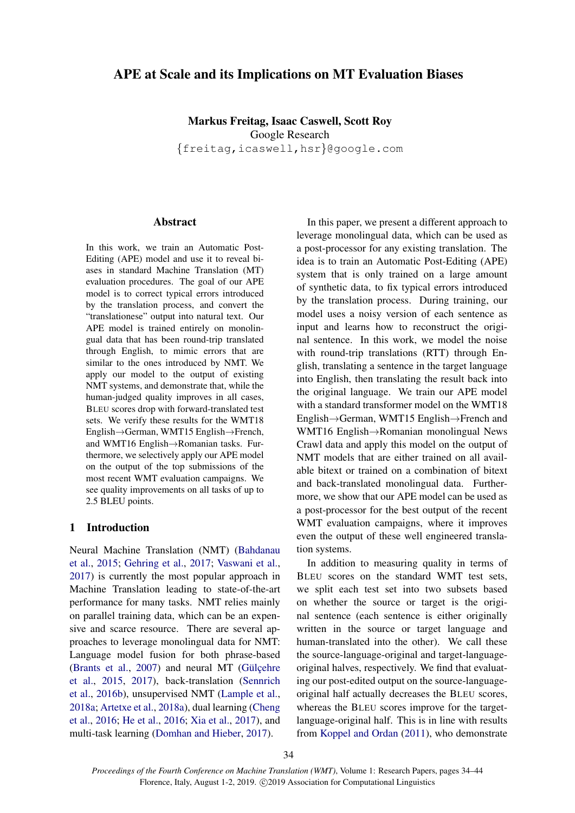# APE at Scale and its Implications on MT Evaluation Biases

Markus Freitag, Isaac Caswell, Scott Roy Google Research {freitag,icaswell,hsr}@google.com

## Abstract

In this work, we train an Automatic Post-Editing (APE) model and use it to reveal biases in standard Machine Translation (MT) evaluation procedures. The goal of our APE model is to correct typical errors introduced by the translation process, and convert the "translationese" output into natural text. Our APE model is trained entirely on monolingual data that has been round-trip translated through English, to mimic errors that are similar to the ones introduced by NMT. We apply our model to the output of existing NMT systems, and demonstrate that, while the human-judged quality improves in all cases, BLEU scores drop with forward-translated test sets. We verify these results for the WMT18 English→German, WMT15 English→French, and WMT16 English→Romanian tasks. Furthermore, we selectively apply our APE model on the output of the top submissions of the most recent WMT evaluation campaigns. We see quality improvements on all tasks of up to 2.5 BLEU points.

## 1 Introduction

Neural Machine Translation (NMT) [\(Bahdanau](#page-8-0) [et al.,](#page-8-0) [2015;](#page-8-0) [Gehring et al.,](#page-8-1) [2017;](#page-8-1) [Vaswani et al.,](#page-10-0) [2017\)](#page-10-0) is currently the most popular approach in Machine Translation leading to state-of-the-art performance for many tasks. NMT relies mainly on parallel training data, which can be an expensive and scarce resource. There are several approaches to leverage monolingual data for NMT: Language model fusion for both phrase-based [\(Brants et al.,](#page-8-2)  $2007$ ) and neural MT (Gülcehre [et al.,](#page-9-0) [2015,](#page-9-0) [2017\)](#page-9-1), back-translation [\(Sennrich](#page-10-1) [et al.,](#page-10-1) [2016b\)](#page-10-1), unsupervised NMT [\(Lample et al.,](#page-9-2) [2018a;](#page-9-2) [Artetxe et al.,](#page-8-3) [2018a\)](#page-8-3), dual learning [\(Cheng](#page-8-4) [et al.,](#page-8-4) [2016;](#page-8-4) [He et al.,](#page-9-3) [2016;](#page-9-3) [Xia et al.,](#page-10-2) [2017\)](#page-10-2), and multi-task learning [\(Domhan and Hieber,](#page-8-5) [2017\)](#page-8-5).

In this paper, we present a different approach to leverage monolingual data, which can be used as a post-processor for any existing translation. The idea is to train an Automatic Post-Editing (APE) system that is only trained on a large amount of synthetic data, to fix typical errors introduced by the translation process. During training, our model uses a noisy version of each sentence as input and learns how to reconstruct the original sentence. In this work, we model the noise with round-trip translations (RTT) through English, translating a sentence in the target language into English, then translating the result back into the original language. We train our APE model with a standard transformer model on the WMT18 English→German, WMT15 English→French and WMT16 English→Romanian monolingual News Crawl data and apply this model on the output of NMT models that are either trained on all available bitext or trained on a combination of bitext and back-translated monolingual data. Furthermore, we show that our APE model can be used as a post-processor for the best output of the recent WMT evaluation campaigns, where it improves even the output of these well engineered translation systems.

In addition to measuring quality in terms of BLEU scores on the standard WMT test sets, we split each test set into two subsets based on whether the source or target is the original sentence (each sentence is either originally written in the source or target language and human-translated into the other). We call these the source-language-original and target-languageoriginal halves, respectively. We find that evaluating our post-edited output on the source-languageoriginal half actually decreases the BLEU scores, whereas the BLEU scores improve for the targetlanguage-original half. This is in line with results from [Koppel and Ordan](#page-9-4) [\(2011\)](#page-9-4), who demonstrate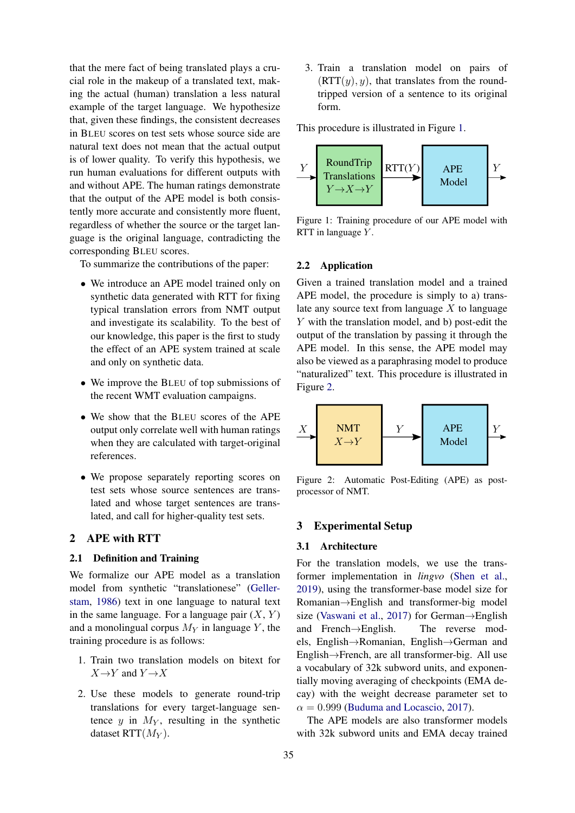that the mere fact of being translated plays a crucial role in the makeup of a translated text, making the actual (human) translation a less natural example of the target language. We hypothesize that, given these findings, the consistent decreases in BLEU scores on test sets whose source side are natural text does not mean that the actual output is of lower quality. To verify this hypothesis, we run human evaluations for different outputs with and without APE. The human ratings demonstrate that the output of the APE model is both consistently more accurate and consistently more fluent, regardless of whether the source or the target language is the original language, contradicting the corresponding BLEU scores.

To summarize the contributions of the paper:

- We introduce an APE model trained only on synthetic data generated with RTT for fixing typical translation errors from NMT output and investigate its scalability. To the best of our knowledge, this paper is the first to study the effect of an APE system trained at scale and only on synthetic data.
- We improve the BLEU of top submissions of the recent WMT evaluation campaigns.
- We show that the BLEU scores of the APE output only correlate well with human ratings when they are calculated with target-original references.
- We propose separately reporting scores on test sets whose source sentences are translated and whose target sentences are translated, and call for higher-quality test sets.

## <span id="page-1-2"></span>2 APE with RTT

## 2.1 Definition and Training

We formalize our APE model as a translation model from synthetic "translationese" [\(Geller](#page-9-5)[stam,](#page-9-5) [1986\)](#page-9-5) text in one language to natural text in the same language. For a language pair  $(X, Y)$ and a monolingual corpus  $M_Y$  in language Y, the training procedure is as follows:

- 1. Train two translation models on bitext for  $X \rightarrow Y$  and  $Y \rightarrow X$
- 2. Use these models to generate round-trip translations for every target-language sentence y in  $M_Y$ , resulting in the synthetic dataset RTT $(M_Y)$ .

3. Train a translation model on pairs of  $(RTT(y), y)$ , that translates from the roundtripped version of a sentence to its original form.

This procedure is illustrated in Figure [1.](#page-1-0)

<span id="page-1-0"></span>

Figure 1: Training procedure of our APE model with RTT in language  $Y$ .

## 2.2 Application

Given a trained translation model and a trained APE model, the procedure is simply to a) translate any source text from language  $X$  to language Y with the translation model, and b) post-edit the output of the translation by passing it through the APE model. In this sense, the APE model may also be viewed as a paraphrasing model to produce "naturalized" text. This procedure is illustrated in Figure [2.](#page-1-1)

<span id="page-1-1"></span>

Figure 2: Automatic Post-Editing (APE) as postprocessor of NMT.

## 3 Experimental Setup

### 3.1 Architecture

For the translation models, we use the transformer implementation in *lingvo* [\(Shen et al.,](#page-10-3) [2019\)](#page-10-3), using the transformer-base model size for Romanian→English and transformer-big model size [\(Vaswani et al.,](#page-10-0) [2017\)](#page-10-0) for German→English and French→English. The reverse models, English→Romanian, English→German and English→French, are all transformer-big. All use a vocabulary of 32k subword units, and exponentially moving averaging of checkpoints (EMA decay) with the weight decrease parameter set to  $\alpha = 0.999$  [\(Buduma and Locascio,](#page-8-6) [2017\)](#page-8-6).

The APE models are also transformer models with 32k subword units and EMA decay trained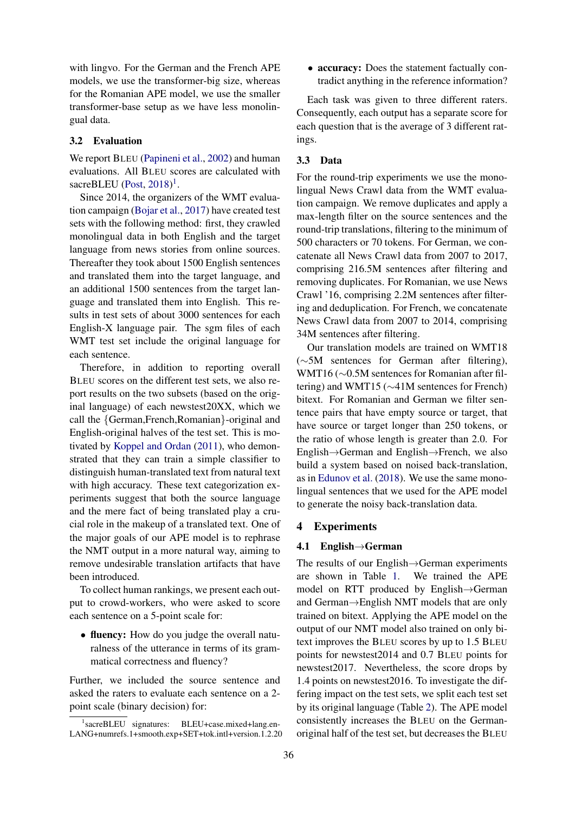with lingvo. For the German and the French APE models, we use the transformer-big size, whereas for the Romanian APE model, we use the smaller transformer-base setup as we have less monolingual data.

## <span id="page-2-1"></span>3.2 Evaluation

We report BLEU [\(Papineni et al.,](#page-9-6) [2002\)](#page-9-6) and human evaluations. All BLEU scores are calculated with sacreBLEU [\(Post,](#page-10-4)  $2018$  $2018$  $2018$ )<sup>1</sup>.

Since 2014, the organizers of the WMT evaluation campaign [\(Bojar et al.,](#page-8-7) [2017\)](#page-8-7) have created test sets with the following method: first, they crawled monolingual data in both English and the target language from news stories from online sources. Thereafter they took about 1500 English sentences and translated them into the target language, and an additional 1500 sentences from the target language and translated them into English. This results in test sets of about 3000 sentences for each English-X language pair. The sgm files of each WMT test set include the original language for each sentence.

Therefore, in addition to reporting overall BLEU scores on the different test sets, we also report results on the two subsets (based on the original language) of each newstest20XX, which we call the {German,French,Romanian}-original and English-original halves of the test set. This is motivated by [Koppel and Ordan](#page-9-4) [\(2011\)](#page-9-4), who demonstrated that they can train a simple classifier to distinguish human-translated text from natural text with high accuracy. These text categorization experiments suggest that both the source language and the mere fact of being translated play a crucial role in the makeup of a translated text. One of the major goals of our APE model is to rephrase the NMT output in a more natural way, aiming to remove undesirable translation artifacts that have been introduced.

To collect human rankings, we present each output to crowd-workers, who were asked to score each sentence on a 5-point scale for:

• fluency: How do you judge the overall naturalness of the utterance in terms of its grammatical correctness and fluency?

Further, we included the source sentence and asked the raters to evaluate each sentence on a 2 point scale (binary decision) for:

• accuracy: Does the statement factually contradict anything in the reference information?

Each task was given to three different raters. Consequently, each output has a separate score for each question that is the average of 3 different ratings.

## 3.3 Data

For the round-trip experiments we use the monolingual News Crawl data from the WMT evaluation campaign. We remove duplicates and apply a max-length filter on the source sentences and the round-trip translations, filtering to the minimum of 500 characters or 70 tokens. For German, we concatenate all News Crawl data from 2007 to 2017, comprising 216.5M sentences after filtering and removing duplicates. For Romanian, we use News Crawl '16, comprising 2.2M sentences after filtering and deduplication. For French, we concatenate News Crawl data from 2007 to 2014, comprising 34M sentences after filtering.

Our translation models are trained on WMT18 (∼5M sentences for German after filtering), WMT16 (∼0.5M sentences for Romanian after filtering) and WMT15 (∼41M sentences for French) bitext. For Romanian and German we filter sentence pairs that have empty source or target, that have source or target longer than 250 tokens, or the ratio of whose length is greater than 2.0. For English→German and English→French, we also build a system based on noised back-translation, as in [Edunov et al.](#page-8-8) [\(2018\)](#page-8-8). We use the same monolingual sentences that we used for the APE model to generate the noisy back-translation data.

## 4 Experiments

### 4.1 English→German

The results of our English→German experiments are shown in Table [1.](#page-3-0) We trained the APE model on RTT produced by English→German and German→English NMT models that are only trained on bitext. Applying the APE model on the output of our NMT model also trained on only bitext improves the BLEU scores by up to 1.5 BLEU points for newstest2014 and 0.7 BLEU points for newstest2017. Nevertheless, the score drops by 1.4 points on newstest2016. To investigate the differing impact on the test sets, we split each test set by its original language (Table [2\)](#page-3-1). The APE model consistently increases the BLEU on the Germanoriginal half of the test set, but decreases the BLEU

<span id="page-2-0"></span><sup>1</sup> sacreBLEU signatures: BLEU+case.mixed+lang.en-LANG+numrefs.1+smooth.exp+SET+tok.intl+version.1.2.20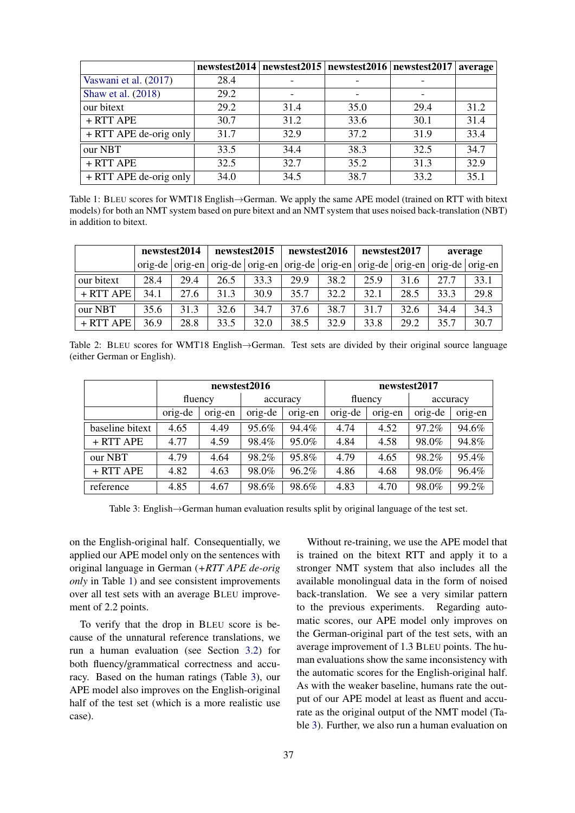<span id="page-3-0"></span>

|                          | newstest2014 |      | newstest $2015$ newstest $2016$ newstest $2017$ |      | average |
|--------------------------|--------------|------|-------------------------------------------------|------|---------|
| Vaswani et al. (2017)    | 28.4         |      |                                                 |      |         |
| Shaw et al. (2018)       | 29.2         |      |                                                 |      |         |
| our bitext               | 29.2         | 31.4 | 35.0                                            | 29.4 | 31.2    |
| + RTT APE                | 30.7         | 31.2 | 33.6                                            | 30.1 | 31.4    |
| $+ RTT$ APE de-orig only | 31.7         | 32.9 | 37.2                                            | 31.9 | 33.4    |
| our NBT                  | 33.5         | 34.4 | 38.3                                            | 32.5 | 34.7    |
| + RTT APE                | 32.5         | 32.7 | 35.2                                            | 31.3 | 32.9    |
| $+ RTT$ APE de-orig only | 34.0         | 34.5 | 38.7                                            | 33.2 | 35.1    |

Table 1: BLEU scores for WMT18 English→German. We apply the same APE model (trained on RTT with bitext models) for both an NMT system based on pure bitext and an NMT system that uses noised back-translation (NBT) in addition to bitext.

<span id="page-3-1"></span>

|             |      | newstest2014         |      | newstest2015         |      | newstest2016                          |      | newstest2017 |      | average              |
|-------------|------|----------------------|------|----------------------|------|---------------------------------------|------|--------------|------|----------------------|
|             |      | $orig-de   orig-en $ |      | $orig-de   orig-en $ |      | orig-de   orig-en   orig-de   orig-en |      |              |      | $orig-de   orig-en $ |
| our bitext  | 28.4 | 29.4                 | 26.5 | 33.3                 | 29.9 | 38.2                                  | 25.9 | 31.6         | 27.7 | 33.1                 |
| $+ RTT APE$ | 34.1 | 27.6                 | 31.3 | 30.9                 | 35.7 | 32.2                                  | 32.1 | 28.5         | 33.3 | 29.8                 |
| our NBT     | 35.6 | 31.3                 | 32.6 | 34.7                 | 37.6 | 38.7                                  | 31.7 | 32.6         | 34.4 | 34.3                 |
| $+$ RTT APE | 36.9 | 28.8                 | 33.5 | 32.0                 | 38.5 | 32.9                                  | 33.8 | 29.2         | 35.7 | 30.7                 |

Table 2: BLEU scores for WMT18 English→German. Test sets are divided by their original source language (either German or English).

<span id="page-3-2"></span>

|                 | newstest2016 |                     |         | newstest2017 |         |         |          |         |
|-----------------|--------------|---------------------|---------|--------------|---------|---------|----------|---------|
|                 |              | fluency<br>accuracy |         |              | fluency |         | accuracy |         |
|                 | orig-de      | orig-en             | orig-de | orig-en      | orig-de | orig-en | orig-de  | orig-en |
| baseline bitext | 4.65         | 4.49                | 95.6%   | 94.4%        | 4.74    | 4.52    | 97.2%    | 94.6%   |
| + RTT APE       | 4.77         | 4.59                | 98.4%   | 95.0%        | 4.84    | 4.58    | 98.0%    | 94.8%   |
| our NBT         | 4.79         | 4.64                | 98.2%   | 95.8%        | 4.79    | 4.65    | 98.2%    | 95.4%   |
| $+ RTT$ APE     | 4.82         | 4.63                | 98.0%   | 96.2%        | 4.86    | 4.68    | 98.0%    | 96.4%   |
| reference       | 4.85         | 4.67                | 98.6%   | 98.6%        | 4.83    | 4.70    | 98.0%    | 99.2%   |

Table 3: English→German human evaluation results split by original language of the test set.

on the English-original half. Consequentially, we applied our APE model only on the sentences with original language in German (*+RTT APE de-orig only* in Table [1\)](#page-3-0) and see consistent improvements over all test sets with an average BLEU improvement of 2.2 points.

To verify that the drop in BLEU score is because of the unnatural reference translations, we run a human evaluation (see Section [3.2\)](#page-2-1) for both fluency/grammatical correctness and accuracy. Based on the human ratings (Table [3\)](#page-3-2), our APE model also improves on the English-original half of the test set (which is a more realistic use case).

Without re-training, we use the APE model that is trained on the bitext RTT and apply it to a stronger NMT system that also includes all the available monolingual data in the form of noised back-translation. We see a very similar pattern to the previous experiments. Regarding automatic scores, our APE model only improves on the German-original part of the test sets, with an average improvement of 1.3 BLEU points. The human evaluations show the same inconsistency with the automatic scores for the English-original half. As with the weaker baseline, humans rate the output of our APE model at least as fluent and accurate as the original output of the NMT model (Table [3\)](#page-3-2). Further, we also run a human evaluation on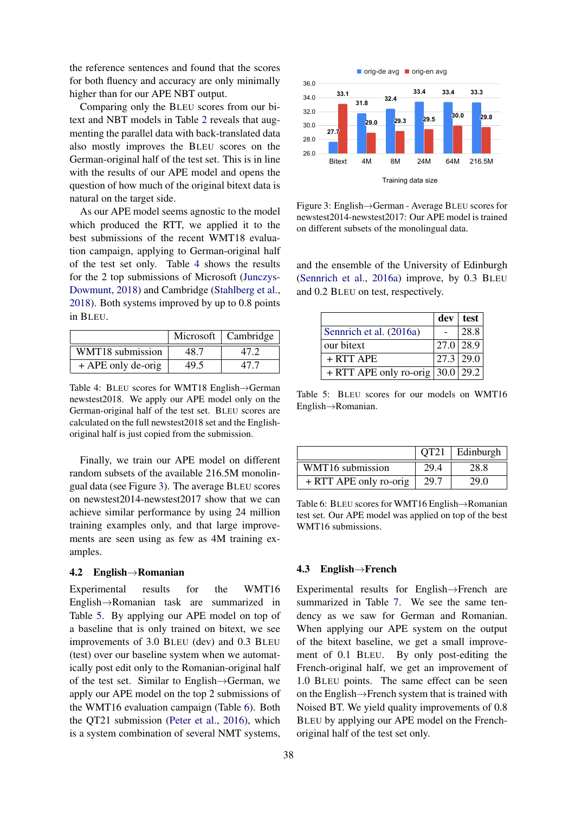the reference sentences and found that the scores for both fluency and accuracy are only minimally higher than for our APE NBT output.

Comparing only the BLEU scores from our bitext and NBT models in Table [2](#page-3-1) reveals that augmenting the parallel data with back-translated data also mostly improves the BLEU scores on the German-original half of the test set. This is in line with the results of our APE model and opens the question of how much of the original bitext data is natural on the target side.

As our APE model seems agnostic to the model which produced the RTT, we applied it to the best submissions of the recent WMT18 evaluation campaign, applying to German-original half of the test set only. Table [4](#page-4-0) shows the results for the 2 top submissions of Microsoft [\(Junczys-](#page-9-7)[Dowmunt,](#page-9-7) [2018\)](#page-9-7) and Cambridge [\(Stahlberg et al.,](#page-10-6) [2018\)](#page-10-6). Both systems improved by up to 0.8 points in BLEU.

<span id="page-4-0"></span>

|                      |      | Microsoft   Cambridge |
|----------------------|------|-----------------------|
| WMT18 submission     | 48.7 | 47 Z                  |
| $+$ APE only de-orig | 49.5 | 47 7                  |

Table 4: BLEU scores for WMT18 English→German newstest2018. We apply our APE model only on the German-original half of the test set. BLEU scores are calculated on the full newstest2018 set and the Englishoriginal half is just copied from the submission.

Finally, we train our APE model on different random subsets of the available 216.5M monolingual data (see Figure [3\)](#page-4-1). The average BLEU scores on newstest2014-newstest2017 show that we can achieve similar performance by using 24 million training examples only, and that large improvements are seen using as few as 4M training examples.

#### 4.2 English→Romanian

Experimental results for the WMT16 English→Romanian task are summarized in Table [5.](#page-4-2) By applying our APE model on top of a baseline that is only trained on bitext, we see improvements of 3.0 BLEU (dev) and 0.3 BLEU (test) over our baseline system when we automatically post edit only to the Romanian-original half of the test set. Similar to English→German, we apply our APE model on the top 2 submissions of the WMT16 evaluation campaign (Table [6\)](#page-4-3). Both the QT21 submission [\(Peter et al.,](#page-9-8) [2016\)](#page-9-8), which is a system combination of several NMT systems,

<span id="page-4-1"></span>

Figure 3: English→German - Average BLEU scores for newstest2014-newstest2017: Our APE model is trained on different subsets of the monolingual data.

and the ensemble of the University of Edinburgh [\(Sennrich et al.,](#page-10-7) [2016a\)](#page-10-7) improve, by 0.3 BLEU and 0.2 BLEU on test, respectively.

<span id="page-4-2"></span>

|                                      | dev | test          |
|--------------------------------------|-----|---------------|
| Sennrich et al. (2016a)              |     | 28.8          |
| our bitext                           |     | $27.0$   28.9 |
| $+$ RTT APE                          |     | $27.3$   29.0 |
| + RTT APE only ro-orig $ 30.0 29.2 $ |     |               |

Table 5: BLEU scores for our models on WMT16 English→Romanian.

<span id="page-4-3"></span>

|                        | OT21 | Edinburgh |
|------------------------|------|-----------|
| WMT16 submission       | 29.4 | 28.8      |
| + RTT APE only ro-orig | 29.7 | 29.0      |

Table 6: BLEU scores for WMT16 English→Romanian test set. Our APE model was applied on top of the best WMT16 submissions.

### 4.3 English→French

Experimental results for English→French are summarized in Table [7.](#page-5-0) We see the same tendency as we saw for German and Romanian. When applying our APE system on the output of the bitext baseline, we get a small improvement of 0.1 BLEU. By only post-editing the French-original half, we get an improvement of 1.0 BLEU points. The same effect can be seen on the English→French system that is trained with Noised BT. We yield quality improvements of 0.8 BLEU by applying our APE model on the Frenchoriginal half of the test set only.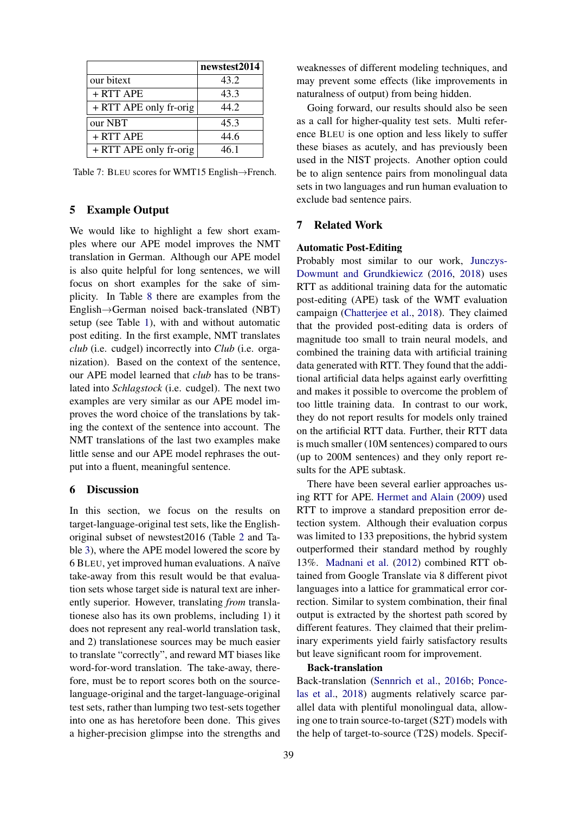<span id="page-5-0"></span>

|                        | newstest2014 |
|------------------------|--------------|
| our bitext             | 43.2         |
| $+ RTT$ APE            | 43.3         |
| + RTT APE only fr-orig | 44.2         |
| our NBT                | 45.3         |
| $+ RTT$ APE            | 44.6         |
| + RTT APE only fr-orig | 46 1         |

Table 7: BLEU scores for WMT15 English→French.

# 5 Example Output

We would like to highlight a few short examples where our APE model improves the NMT translation in German. Although our APE model is also quite helpful for long sentences, we will focus on short examples for the sake of simplicity. In Table [8](#page-6-0) there are examples from the English→German noised back-translated (NBT) setup (see Table [1\)](#page-3-0), with and without automatic post editing. In the first example, NMT translates *club* (i.e. cudgel) incorrectly into *Club* (i.e. organization). Based on the context of the sentence, our APE model learned that *club* has to be translated into *Schlagstock* (i.e. cudgel). The next two examples are very similar as our APE model improves the word choice of the translations by taking the context of the sentence into account. The NMT translations of the last two examples make little sense and our APE model rephrases the output into a fluent, meaningful sentence.

### 6 Discussion

In this section, we focus on the results on target-language-original test sets, like the Englishoriginal subset of newstest2016 (Table [2](#page-3-1) and Table [3\)](#page-3-2), where the APE model lowered the score by 6 BLEU, yet improved human evaluations. A naïve take-away from this result would be that evaluation sets whose target side is natural text are inherently superior. However, translating *from* translationese also has its own problems, including 1) it does not represent any real-world translation task, and 2) translationese sources may be much easier to translate "correctly", and reward MT biases like word-for-word translation. The take-away, therefore, must be to report scores both on the sourcelanguage-original and the target-language-original test sets, rather than lumping two test-sets together into one as has heretofore been done. This gives a higher-precision glimpse into the strengths and

weaknesses of different modeling techniques, and may prevent some effects (like improvements in naturalness of output) from being hidden.

Going forward, our results should also be seen as a call for higher-quality test sets. Multi reference BLEU is one option and less likely to suffer these biases as acutely, and has previously been used in the NIST projects. Another option could be to align sentence pairs from monolingual data sets in two languages and run human evaluation to exclude bad sentence pairs.

### 7 Related Work

### Automatic Post-Editing

Probably most similar to our work, [Junczys-](#page-9-9)[Dowmunt and Grundkiewicz](#page-9-9) [\(2016,](#page-9-9) [2018\)](#page-9-10) uses RTT as additional training data for the automatic post-editing (APE) task of the WMT evaluation campaign [\(Chatterjee et al.,](#page-8-9) [2018\)](#page-8-9). They claimed that the provided post-editing data is orders of magnitude too small to train neural models, and combined the training data with artificial training data generated with RTT. They found that the additional artificial data helps against early overfitting and makes it possible to overcome the problem of too little training data. In contrast to our work, they do not report results for models only trained on the artificial RTT data. Further, their RTT data is much smaller (10M sentences) compared to ours (up to 200M sentences) and they only report results for the APE subtask.

There have been several earlier approaches using RTT for APE. [Hermet and Alain](#page-9-11) [\(2009\)](#page-9-11) used RTT to improve a standard preposition error detection system. Although their evaluation corpus was limited to 133 prepositions, the hybrid system outperformed their standard method by roughly 13%. [Madnani et al.](#page-9-12) [\(2012\)](#page-9-12) combined RTT obtained from Google Translate via 8 different pivot languages into a lattice for grammatical error correction. Similar to system combination, their final output is extracted by the shortest path scored by different features. They claimed that their preliminary experiments yield fairly satisfactory results but leave significant room for improvement.

### Back-translation

Back-translation [\(Sennrich et al.,](#page-10-1) [2016b;](#page-10-1) [Ponce](#page-9-13)[las et al.,](#page-9-13) [2018\)](#page-9-13) augments relatively scarce parallel data with plentiful monolingual data, allowing one to train source-to-target (S2T) models with the help of target-to-source (T2S) models. Specif-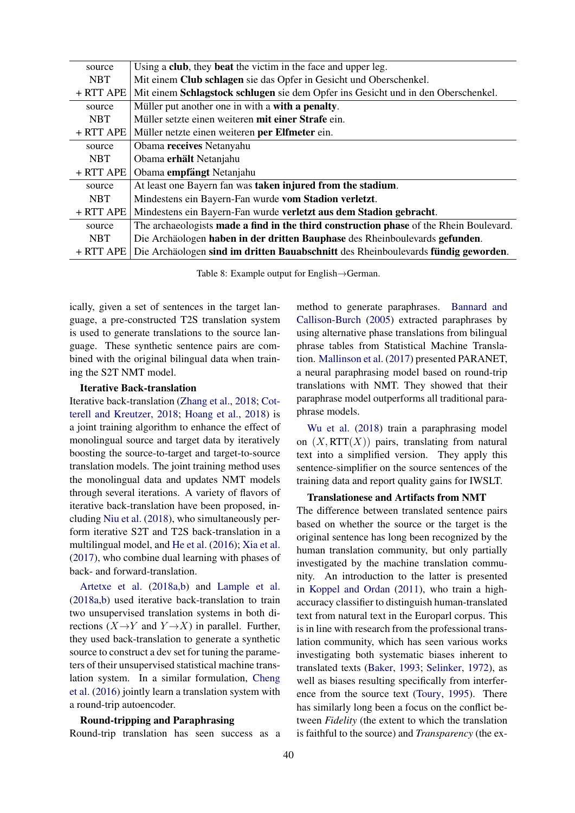<span id="page-6-0"></span>

| source     | Using a club, they beat the victim in the face and upper leg.                                 |
|------------|-----------------------------------------------------------------------------------------------|
| <b>NBT</b> | Mit einem Club schlagen sie das Opfer in Gesicht und Oberschenkel.                            |
| + RTT APE  | Mit einem Schlagstock schlugen sie dem Opfer ins Gesicht und in den Oberschenkel.             |
| source     | Müller put another one in with a with a penalty.                                              |
| <b>NBT</b> | Müller setzte einen weiteren mit einer Strafe ein.                                            |
| + RTT APE  | Müller netzte einen weiteren per Elfmeter ein.                                                |
| source     | Obama receives Netanyahu                                                                      |
| <b>NBT</b> | Obama erhält Netanjahu                                                                        |
| + RTT APE  | Obama empfängt Netanjahu                                                                      |
| source     | At least one Bayern fan was taken injured from the stadium.                                   |
| <b>NBT</b> | Mindestens ein Bayern-Fan wurde vom Stadion verletzt.                                         |
| + RTT APE  | Mindestens ein Bayern-Fan wurde verletzt aus dem Stadion gebracht.                            |
| source     | The archaeologists <b>made a find in the third construction phase</b> of the Rhein Boulevard. |
| <b>NBT</b> | Die Archäologen haben in der dritten Bauphase des Rheinboulevards gefunden.                   |
| + RTT APE  | Die Archäologen sind im dritten Bauabschnitt des Rheinboulevards fündig geworden.             |

Table 8: Example output for English→German.

ically, given a set of sentences in the target language, a pre-constructed T2S translation system is used to generate translations to the source language. These synthetic sentence pairs are combined with the original bilingual data when training the S2T NMT model.

### Iterative Back-translation

Iterative back-translation [\(Zhang et al.,](#page-10-8) [2018;](#page-10-8) [Cot](#page-8-10)[terell and Kreutzer,](#page-8-10) [2018;](#page-8-10) [Hoang et al.,](#page-9-14) [2018\)](#page-9-14) is a joint training algorithm to enhance the effect of monolingual source and target data by iteratively boosting the source-to-target and target-to-source translation models. The joint training method uses the monolingual data and updates NMT models through several iterations. A variety of flavors of iterative back-translation have been proposed, including [Niu et al.](#page-9-15) [\(2018\)](#page-9-15), who simultaneously perform iterative S2T and T2S back-translation in a multilingual model, and [He et al.](#page-9-3) [\(2016\)](#page-9-3); [Xia et al.](#page-10-2) [\(2017\)](#page-10-2), who combine dual learning with phases of back- and forward-translation.

[Artetxe et al.](#page-8-3) [\(2018a](#page-8-3)[,b\)](#page-8-11) and [Lample et al.](#page-9-2) [\(2018a](#page-9-2)[,b\)](#page-9-16) used iterative back-translation to train two unsupervised translation systems in both directions  $(X \rightarrow Y$  and  $Y \rightarrow X$ ) in parallel. Further, they used back-translation to generate a synthetic source to construct a dev set for tuning the parameters of their unsupervised statistical machine translation system. In a similar formulation, [Cheng](#page-8-4) [et al.](#page-8-4) [\(2016\)](#page-8-4) jointly learn a translation system with a round-trip autoencoder.

### Round-tripping and Paraphrasing

Round-trip translation has seen success as a

method to generate paraphrases. [Bannard and](#page-8-12) [Callison-Burch](#page-8-12) [\(2005\)](#page-8-12) extracted paraphrases by using alternative phase translations from bilingual phrase tables from Statistical Machine Translation. [Mallinson et al.](#page-9-17) [\(2017\)](#page-9-17) presented PARANET, a neural paraphrasing model based on round-trip translations with NMT. They showed that their paraphrase model outperforms all traditional paraphrase models.

[Wu et al.](#page-10-9) [\(2018\)](#page-10-9) train a paraphrasing model on  $(X, RTT(X))$  pairs, translating from natural text into a simplified version. They apply this sentence-simplifier on the source sentences of the training data and report quality gains for IWSLT.

Translationese and Artifacts from NMT The difference between translated sentence pairs based on whether the source or the target is the original sentence has long been recognized by the human translation community, but only partially investigated by the machine translation community. An introduction to the latter is presented in [Koppel and Ordan](#page-9-4) [\(2011\)](#page-9-4), who train a highaccuracy classifier to distinguish human-translated text from natural text in the Europarl corpus. This is in line with research from the professional translation community, which has seen various works investigating both systematic biases inherent to translated texts [\(Baker,](#page-8-13) [1993;](#page-8-13) [Selinker,](#page-10-10) [1972\)](#page-10-10), as well as biases resulting specifically from interference from the source text [\(Toury,](#page-10-11) [1995\)](#page-10-11). There has similarly long been a focus on the conflict between *Fidelity* (the extent to which the translation is faithful to the source) and *Transparency* (the ex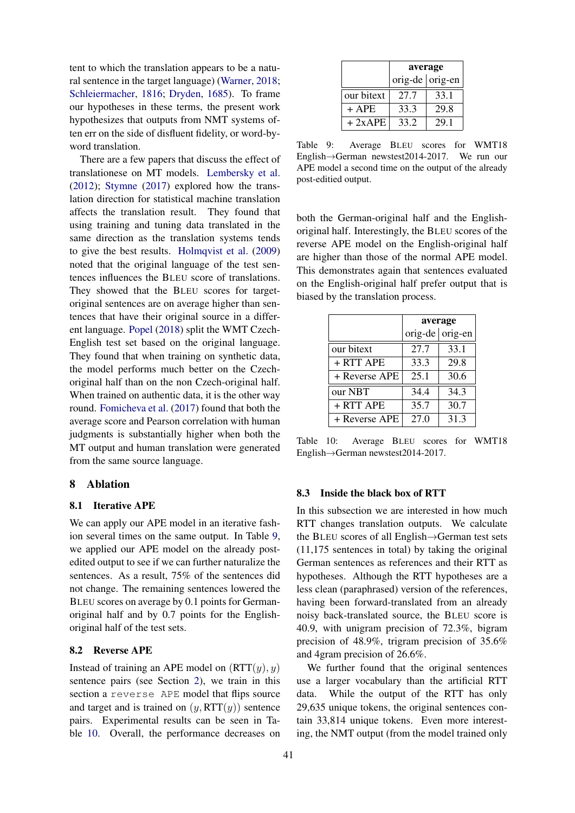tent to which the translation appears to be a natural sentence in the target language) [\(Warner,](#page-10-12) [2018;](#page-10-12) [Schleiermacher,](#page-10-13) [1816;](#page-10-13) [Dryden,](#page-8-14) [1685\)](#page-8-14). To frame our hypotheses in these terms, the present work hypothesizes that outputs from NMT systems often err on the side of disfluent fidelity, or word-byword translation.

There are a few papers that discuss the effect of translationese on MT models. [Lembersky et al.](#page-9-18) [\(2012\)](#page-9-18); [Stymne](#page-10-14) [\(2017\)](#page-10-14) explored how the translation direction for statistical machine translation affects the translation result. They found that using training and tuning data translated in the same direction as the translation systems tends to give the best results. [Holmqvist et al.](#page-9-19) [\(2009\)](#page-9-19) noted that the original language of the test sentences influences the BLEU score of translations. They showed that the BLEU scores for targetoriginal sentences are on average higher than sentences that have their original source in a different language. [Popel](#page-10-15) [\(2018\)](#page-10-15) split the WMT Czech-English test set based on the original language. They found that when training on synthetic data, the model performs much better on the Czechoriginal half than on the non Czech-original half. When trained on authentic data, it is the other way round. [Fomicheva et al.](#page-8-15) [\(2017\)](#page-8-15) found that both the average score and Pearson correlation with human judgments is substantially higher when both the MT output and human translation were generated from the same source language.

### 8 Ablation

## 8.1 Iterative APE

We can apply our APE model in an iterative fashion several times on the same output. In Table [9,](#page-7-0) we applied our APE model on the already postedited output to see if we can further naturalize the sentences. As a result, 75% of the sentences did not change. The remaining sentences lowered the BLEU scores on average by 0.1 points for Germanoriginal half and by 0.7 points for the Englishoriginal half of the test sets.

## 8.2 Reverse APE

Instead of training an APE model on  $(RTT(y), y)$ sentence pairs (see Section [2\)](#page-1-2), we train in this section a reverse APE model that flips source and target and is trained on  $(y, RTT(y))$  sentence pairs. Experimental results can be seen in Table [10.](#page-7-1) Overall, the performance decreases on

<span id="page-7-0"></span>

|            | average           |      |  |
|------------|-------------------|------|--|
|            | orig-de   orig-en |      |  |
| our bitext | 27.7              | 33.1 |  |
| $+$ APE    | 33.3              | 29.8 |  |
| $+2xAPE$   | 33.2              | 29.1 |  |

Table 9: Average BLEU scores for WMT18 English→German newstest2014-2017. We run our APE model a second time on the output of the already post-editied output.

both the German-original half and the Englishoriginal half. Interestingly, the BLEU scores of the reverse APE model on the English-original half are higher than those of the normal APE model. This demonstrates again that sentences evaluated on the English-original half prefer output that is biased by the translation process.

<span id="page-7-1"></span>

|               | average |                 |  |
|---------------|---------|-----------------|--|
|               |         | orig-de orig-en |  |
| our bitext    | 27.7    | 33.1            |  |
| + RTT APE     | 33.3    | 29.8            |  |
| + Reverse APE | 25.1    | 30.6            |  |
| our NBT       | 34.4    | 34.3            |  |
| + RTT APE     | 35.7    | 30.7            |  |
| + Reverse APE | 27.0    | 31.3            |  |

Table 10: Average BLEU scores for WMT18 English→German newstest2014-2017.

#### 8.3 Inside the black box of RTT

In this subsection we are interested in how much RTT changes translation outputs. We calculate the BLEU scores of all English→German test sets (11,175 sentences in total) by taking the original German sentences as references and their RTT as hypotheses. Although the RTT hypotheses are a less clean (paraphrased) version of the references, having been forward-translated from an already noisy back-translated source, the BLEU score is 40.9, with unigram precision of 72.3%, bigram precision of 48.9%, trigram precision of 35.6% and 4gram precision of 26.6%.

We further found that the original sentences use a larger vocabulary than the artificial RTT data. While the output of the RTT has only 29,635 unique tokens, the original sentences contain 33,814 unique tokens. Even more interesting, the NMT output (from the model trained only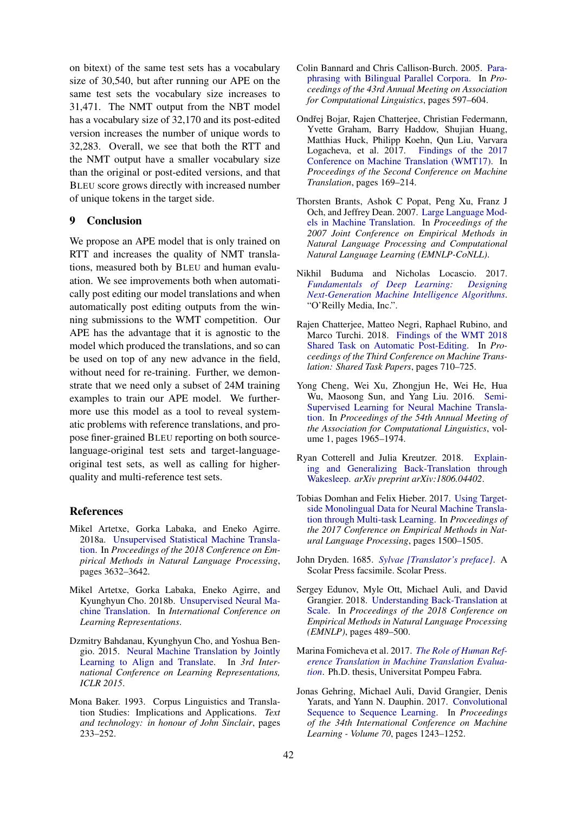on bitext) of the same test sets has a vocabulary size of 30,540, but after running our APE on the same test sets the vocabulary size increases to 31,471. The NMT output from the NBT model has a vocabulary size of 32,170 and its post-edited version increases the number of unique words to 32,283. Overall, we see that both the RTT and the NMT output have a smaller vocabulary size than the original or post-edited versions, and that BLEU score grows directly with increased number of unique tokens in the target side.

## 9 Conclusion

We propose an APE model that is only trained on RTT and increases the quality of NMT translations, measured both by BLEU and human evaluation. We see improvements both when automatically post editing our model translations and when automatically post editing outputs from the winning submissions to the WMT competition. Our APE has the advantage that it is agnostic to the model which produced the translations, and so can be used on top of any new advance in the field, without need for re-training. Further, we demonstrate that we need only a subset of 24M training examples to train our APE model. We furthermore use this model as a tool to reveal systematic problems with reference translations, and propose finer-grained BLEU reporting on both sourcelanguage-original test sets and target-languageoriginal test sets, as well as calling for higherquality and multi-reference test sets.

## References

- <span id="page-8-3"></span>Mikel Artetxe, Gorka Labaka, and Eneko Agirre. 2018a. [Unsupervised Statistical Machine Transla](http://www.aclweb.org/anthology/D18-1399)[tion.](http://www.aclweb.org/anthology/D18-1399) In *Proceedings of the 2018 Conference on Empirical Methods in Natural Language Processing*, pages 3632–3642.
- <span id="page-8-11"></span>Mikel Artetxe, Gorka Labaka, Eneko Agirre, and Kyunghyun Cho. 2018b. [Unsupervised Neural Ma](https://openreview.net/forum?id=Sy2ogebAW)[chine Translation.](https://openreview.net/forum?id=Sy2ogebAW) In *International Conference on Learning Representations*.
- <span id="page-8-0"></span>Dzmitry Bahdanau, Kyunghyun Cho, and Yoshua Bengio. 2015. [Neural Machine Translation by Jointly](http://arxiv.org/abs/1409.0473) [Learning to Align and Translate.](http://arxiv.org/abs/1409.0473) In *3rd International Conference on Learning Representations, ICLR 2015*.
- <span id="page-8-13"></span>Mona Baker. 1993. Corpus Linguistics and Translation Studies: Implications and Applications. *Text and technology: in honour of John Sinclair*, pages 233–252.
- <span id="page-8-12"></span>Colin Bannard and Chris Callison-Burch. 2005. [Para](http://www.aclweb.org/anthology/P05-1074)[phrasing with Bilingual Parallel Corpora.](http://www.aclweb.org/anthology/P05-1074) In *Proceedings of the 43rd Annual Meeting on Association for Computational Linguistics*, pages 597–604.
- <span id="page-8-7"></span>Ondřej Bojar, Rajen Chatterjee, Christian Federmann, Yvette Graham, Barry Haddow, Shujian Huang, Matthias Huck, Philipp Koehn, Qun Liu, Varvara Logacheva, et al. 2017. [Findings of the 2017](https://www.aclweb.org/anthology/W16-2301) [Conference on Machine Translation \(WMT17\).](https://www.aclweb.org/anthology/W16-2301) In *Proceedings of the Second Conference on Machine Translation*, pages 169–214.
- <span id="page-8-2"></span>Thorsten Brants, Ashok C Popat, Peng Xu, Franz J Och, and Jeffrey Dean. 2007. [Large Language Mod](https://www.aclweb.org/anthology/D07-1090)[els in Machine Translation.](https://www.aclweb.org/anthology/D07-1090) In *Proceedings of the 2007 Joint Conference on Empirical Methods in Natural Language Processing and Computational Natural Language Learning (EMNLP-CoNLL)*.
- <span id="page-8-6"></span>Nikhil Buduma and Nicholas Locascio. 2017. *[Fundamentals of Deep Learning: Designing](https://dl.acm.org/citation.cfm?id=3161223) [Next-Generation Machine Intelligence Algorithms](https://dl.acm.org/citation.cfm?id=3161223)*. "O'Reilly Media, Inc.".
- <span id="page-8-9"></span>Rajen Chatterjee, Matteo Negri, Raphael Rubino, and Marco Turchi. 2018. [Findings of the WMT 2018](https://www.aclweb.org/anthology/W18-6452) [Shared Task on Automatic Post-Editing.](https://www.aclweb.org/anthology/W18-6452) In *Proceedings of the Third Conference on Machine Translation: Shared Task Papers*, pages 710–725.
- <span id="page-8-4"></span>Yong Cheng, Wei Xu, Zhongjun He, Wei He, Hua Wu, Maosong Sun, and Yang Liu. 2016. [Semi-](https://www.aclweb.org/anthology/P16-1185)[Supervised Learning for Neural Machine Transla](https://www.aclweb.org/anthology/P16-1185)[tion.](https://www.aclweb.org/anthology/P16-1185) In *Proceedings of the 54th Annual Meeting of the Association for Computational Linguistics*, volume 1, pages 1965–1974.
- <span id="page-8-10"></span>Ryan Cotterell and Julia Kreutzer. 2018. [Explain](https://arxiv.org/pdf/1806.04402.pdf)[ing and Generalizing Back-Translation through](https://arxiv.org/pdf/1806.04402.pdf) [Wakesleep.](https://arxiv.org/pdf/1806.04402.pdf) *arXiv preprint arXiv:1806.04402*.
- <span id="page-8-5"></span>Tobias Domhan and Felix Hieber. 2017. [Using Target](https://www.aclweb.org/anthology/D17-1158)[side Monolingual Data for Neural Machine Transla](https://www.aclweb.org/anthology/D17-1158)[tion through Multi-task Learning.](https://www.aclweb.org/anthology/D17-1158) In *Proceedings of the 2017 Conference on Empirical Methods in Natural Language Processing*, pages 1500–1505.
- <span id="page-8-14"></span>John Dryden. 1685. *[Sylvae \[Translator's preface\]](https://books.google.com/books?id=OVI6AQAAMAAJ)*. A Scolar Press facsimile. Scolar Press.
- <span id="page-8-8"></span>Sergey Edunov, Myle Ott, Michael Auli, and David Grangier. 2018. [Understanding Back-Translation at](http://www.aclweb.org/anthology/D18-1045) [Scale.](http://www.aclweb.org/anthology/D18-1045) In *Proceedings of the 2018 Conference on Empirical Methods in Natural Language Processing (EMNLP)*, pages 489–500.
- <span id="page-8-15"></span>Marina Fomicheva et al. 2017. *[The Role of Human Ref](https://www.tdx.cat/handle/10803/404987)[erence Translation in Machine Translation Evalua](https://www.tdx.cat/handle/10803/404987)[tion](https://www.tdx.cat/handle/10803/404987)*. Ph.D. thesis, Universitat Pompeu Fabra.
- <span id="page-8-1"></span>Jonas Gehring, Michael Auli, David Grangier, Denis Yarats, and Yann N. Dauphin. 2017. [Convolutional](http://dl.acm.org/citation.cfm?id=3305381.3305510) [Sequence to Sequence Learning.](http://dl.acm.org/citation.cfm?id=3305381.3305510) In *Proceedings of the 34th International Conference on Machine Learning - Volume 70*, pages 1243–1252.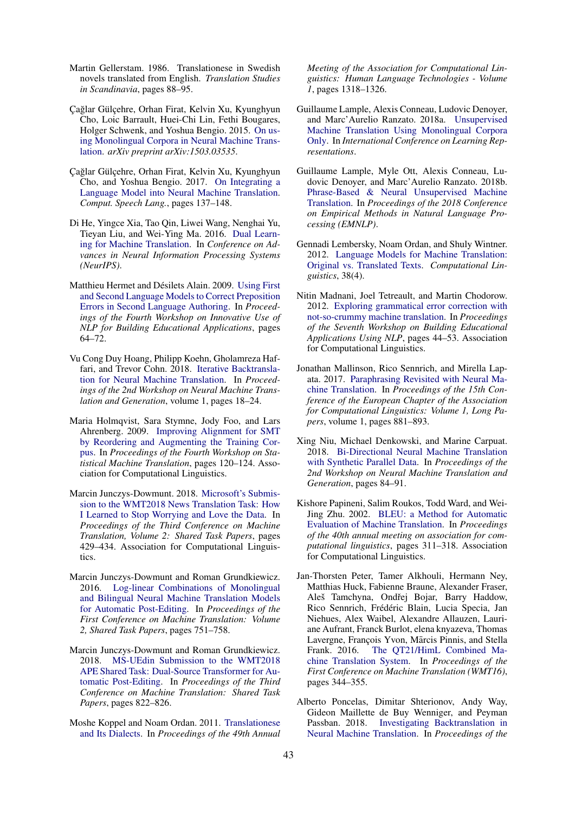- <span id="page-9-5"></span>Martin Gellerstam. 1986. Translationese in Swedish novels translated from English. *Translation Studies in Scandinavia*, pages 88–95.
- <span id="page-9-0"></span>Çağlar Gülçehre, Orhan Firat, Kelvin Xu, Kyunghyun Cho, Loic Barrault, Huei-Chi Lin, Fethi Bougares, Holger Schwenk, and Yoshua Bengio. 2015. [On us](https://arxiv.org/abs/1503.03535)[ing Monolingual Corpora in Neural Machine Trans](https://arxiv.org/abs/1503.03535)[lation.](https://arxiv.org/abs/1503.03535) *arXiv preprint arXiv:1503.03535*.
- <span id="page-9-1"></span>Çağlar Gülçehre, Orhan Firat, Kelvin Xu, Kyunghyun Cho, and Yoshua Bengio. 2017. [On Integrating a](https://doi.org/10.1016/j.csl.2017.01.014) [Language Model into Neural Machine Translation.](https://doi.org/10.1016/j.csl.2017.01.014) *Comput. Speech Lang.*, pages 137–148.
- <span id="page-9-3"></span>Di He, Yingce Xia, Tao Qin, Liwei Wang, Nenghai Yu, Tieyan Liu, and Wei-Ying Ma. 2016. [Dual Learn](https://papers.nips.cc/paper/6469-dual-learning-for-machine-translation.pdf)[ing for Machine Translation.](https://papers.nips.cc/paper/6469-dual-learning-for-machine-translation.pdf) In *Conference on Advances in Neural Information Processing Systems (NeurIPS)*.
- <span id="page-9-11"></span>Matthieu Hermet and Désilets Alain. 2009. [Using First](https://www.aclweb.org/anthology/W09-2110) [and Second Language Models to Correct Preposition](https://www.aclweb.org/anthology/W09-2110) [Errors in Second Language Authoring.](https://www.aclweb.org/anthology/W09-2110) In *Proceedings of the Fourth Workshop on Innovative Use of NLP for Building Educational Applications*, pages 64–72.
- <span id="page-9-14"></span>Vu Cong Duy Hoang, Philipp Koehn, Gholamreza Haffari, and Trevor Cohn. 2018. [Iterative Backtransla](http://www.aclweb.org/anthology/W18-2703)[tion for Neural Machine Translation.](http://www.aclweb.org/anthology/W18-2703) In *Proceedings of the 2nd Workshop on Neural Machine Translation and Generation*, volume 1, pages 18–24.
- <span id="page-9-19"></span>Maria Holmqvist, Sara Stymne, Jody Foo, and Lars Ahrenberg. 2009. [Improving Alignment for SMT](https://aclweb.org/anthology/W09-0421) [by Reordering and Augmenting the Training Cor](https://aclweb.org/anthology/W09-0421)[pus.](https://aclweb.org/anthology/W09-0421) In *Proceedings of the Fourth Workshop on Statistical Machine Translation*, pages 120–124. Association for Computational Linguistics.
- <span id="page-9-7"></span>Marcin Junczys-Dowmunt. 2018. [Microsoft's Submis](http://www.aclweb.org/anthology/W18-6415)[sion to the WMT2018 News Translation Task: How](http://www.aclweb.org/anthology/W18-6415) [I Learned to Stop Worrying and Love the Data.](http://www.aclweb.org/anthology/W18-6415) In *Proceedings of the Third Conference on Machine Translation, Volume 2: Shared Task Papers*, pages 429–434. Association for Computational Linguistics.
- <span id="page-9-9"></span>Marcin Junczys-Dowmunt and Roman Grundkiewicz. 2016. [Log-linear Combinations of Monolingual](https://www.aclweb.org/anthology/W16-2378) [and Bilingual Neural Machine Translation Models](https://www.aclweb.org/anthology/W16-2378) [for Automatic Post-Editing.](https://www.aclweb.org/anthology/W16-2378) In *Proceedings of the First Conference on Machine Translation: Volume 2, Shared Task Papers*, pages 751–758.
- <span id="page-9-10"></span>Marcin Junczys-Dowmunt and Roman Grundkiewicz. 2018. [MS-UEdin Submission to the WMT2018](https://www.aclweb.org/anthology/W18-6467) [APE Shared Task: Dual-Source Transformer for Au](https://www.aclweb.org/anthology/W18-6467)[tomatic Post-Editing.](https://www.aclweb.org/anthology/W18-6467) In *Proceedings of the Third Conference on Machine Translation: Shared Task Papers*, pages 822–826.
- <span id="page-9-4"></span>Moshe Koppel and Noam Ordan. 2011. [Translationese](http://dl.acm.org/citation.cfm?id=2002472.2002636) [and Its Dialects.](http://dl.acm.org/citation.cfm?id=2002472.2002636) In *Proceedings of the 49th Annual*

*Meeting of the Association for Computational Linguistics: Human Language Technologies - Volume 1*, pages 1318–1326.

- <span id="page-9-2"></span>Guillaume Lample, Alexis Conneau, Ludovic Denoyer, and Marc'Aurelio Ranzato. 2018a. [Unsupervised](https://openreview.net/forum?id=rkYTTf-AZ) [Machine Translation Using Monolingual Corpora](https://openreview.net/forum?id=rkYTTf-AZ) [Only.](https://openreview.net/forum?id=rkYTTf-AZ) In *International Conference on Learning Representations*.
- <span id="page-9-16"></span>Guillaume Lample, Myle Ott, Alexis Conneau, Ludovic Denoyer, and Marc'Aurelio Ranzato. 2018b. [Phrase-Based & Neural Unsupervised Machine](http://aclweb.org/anthology/D18-1549) [Translation.](http://aclweb.org/anthology/D18-1549) In *Proceedings of the 2018 Conference on Empirical Methods in Natural Language Processing (EMNLP)*.
- <span id="page-9-18"></span>Gennadi Lembersky, Noam Ordan, and Shuly Wintner. 2012. [Language Models for Machine Translation:](https://www.aclweb.org/anthology/J12-4004) [Original vs. Translated Texts.](https://www.aclweb.org/anthology/J12-4004) *Computational Linguistics*, 38(4).
- <span id="page-9-12"></span>Nitin Madnani, Joel Tetreault, and Martin Chodorow. 2012. [Exploring grammatical error correction with](https://dl.acm.org/citation.cfm?id=2390389) [not-so-crummy machine translation.](https://dl.acm.org/citation.cfm?id=2390389) In *Proceedings of the Seventh Workshop on Building Educational Applications Using NLP*, pages 44–53. Association for Computational Linguistics.
- <span id="page-9-17"></span>Jonathan Mallinson, Rico Sennrich, and Mirella Lapata. 2017. [Paraphrasing Revisited with Neural Ma](http://www.aclweb.org/anthology/E17-1083)[chine Translation.](http://www.aclweb.org/anthology/E17-1083) In *Proceedings of the 15th Conference of the European Chapter of the Association for Computational Linguistics: Volume 1, Long Papers*, volume 1, pages 881–893.
- <span id="page-9-15"></span>Xing Niu, Michael Denkowski, and Marine Carpuat. 2018. [Bi-Directional Neural Machine Translation](https://www.aclweb.org/anthology/W18-27#page=96) [with Synthetic Parallel Data.](https://www.aclweb.org/anthology/W18-27#page=96) In *Proceedings of the 2nd Workshop on Neural Machine Translation and Generation*, pages 84–91.
- <span id="page-9-6"></span>Kishore Papineni, Salim Roukos, Todd Ward, and Wei-Jing Zhu. 2002. [BLEU: a Method for Automatic](https://www.aclweb.org/anthology/P02-1040) [Evaluation of Machine Translation.](https://www.aclweb.org/anthology/P02-1040) In *Proceedings of the 40th annual meeting on association for computational linguistics*, pages 311–318. Association for Computational Linguistics.
- <span id="page-9-8"></span>Jan-Thorsten Peter, Tamer Alkhouli, Hermann Ney, Matthias Huck, Fabienne Braune, Alexander Fraser, Aleš Tamchyna, Ondřej Bojar, Barry Haddow, Rico Sennrich, Frédéric Blain, Lucia Specia, Jan Niehues, Alex Waibel, Alexandre Allauzen, Lauriane Aufrant, Franck Burlot, elena knyazeva, Thomas Lavergne, François Yvon, Mārcis Pinnis, and Stella Frank. 2016. [The QT21/HimL Combined Ma](http://www.aclweb.org/anthology/W/W16/W16-2320)[chine Translation System.](http://www.aclweb.org/anthology/W/W16/W16-2320) In *Proceedings of the First Conference on Machine Translation (WMT16)*, pages 344–355.
- <span id="page-9-13"></span>Alberto Poncelas, Dimitar Shterionov, Andy Way, Gideon Maillette de Buy Wenniger, and Peyman Passban. 2018. [Investigating Backtranslation in](https://dialnet.unirioja.es/servlet/articulo?codigo=6474368) [Neural Machine Translation.](https://dialnet.unirioja.es/servlet/articulo?codigo=6474368) In *Proceedings of the*